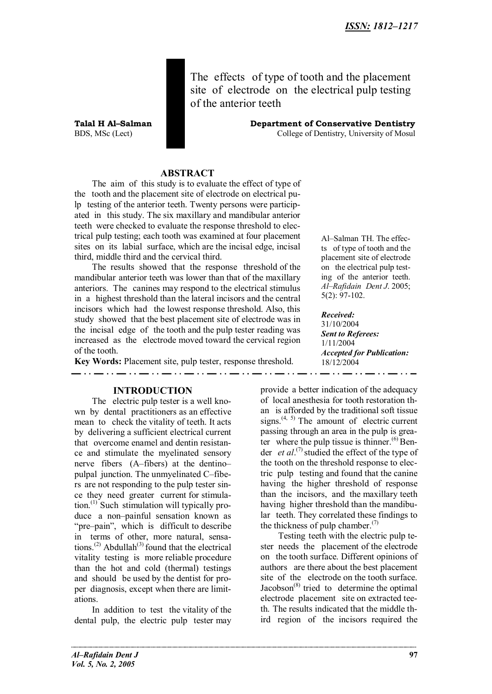The effects of type of tooth and the placement site of electrode on the electrical pulp testing of the anterior teeth

**Talal H Al–Salman Department of Conservative Dentistry** BDS, MSc (Lect) College of Dentistry, University of Mosul

### **ABSTRACT**

The aim of this study is to evaluate the effect of type of the tooth and the placement site of electrode on electrical pulp testing of the anterior teeth. Twenty persons were participated in this study. The six maxillary and mandibular anterior teeth were checked to evaluate the response threshold to electrical pulp testing; each tooth was examined at four placement sites on its labial surface, which are the incisal edge, incisal third, middle third and the cervical third.

The results showed that the response threshold of the mandibular anterior teeth was lower than that of the maxillary anteriors. The canines may respond to the electrical stimulus in a highest threshold than the lateral incisors and the central incisors which had the lowest response threshold. Also, this study showed that the best placement site of electrode was in the incisal edge of the tooth and the pulp tester reading was increased as the electrode moved toward the cervical region of the tooth.

**Key Words:** Placement site, pulp tester, response threshold.

**INTRODUCTION**

The electric pulp tester is a well known by dental practitioners as an effective mean to check the vitality of teeth. It acts by delivering a sufficient electrical current that overcome enamel and dentin resistance and stimulate the myelinated sensory nerve fibers (A–fibers) at the dentino– pulpal junction. The unmyelinated C–fibers are not responding to the pulp tester since they need greater current for stimulation.(1) Such stimulation will typically produce a non–painful sensation known as "pre–pain", which is difficult to describe in terms of other, more natural, sensations.<sup>(2)</sup> Abdullah<sup>(3)</sup> found that the electrical vitality testing is more reliable procedure than the hot and cold (thermal) testings and should be used by the dentist for proper diagnosis, except when there are limitations.

In addition to test the vitality of the dental pulp, the electric pulp tester may

Al–Salman TH. The effects of type of tooth and the placement site of electrode on the electrical pulp testing of the anterior teeth. *Al–Rafidain Dent J*. 2005; 5(2): 97-102.

*Received:* 31/10/2004 *Sent to Referees:* 1/11/2004 *Accepted for Publication:* 18/12/2004

provide a better indication of the adequacy of local anesthesia for tooth restoration than is afforded by the traditional soft tissue signs.<sup> $(4, 5)$ </sup> The amount of electric current passing through an area in the pulp is greater where the pulp tissue is thinner.<sup> $(6)$ </sup> Bender *et al.*<sup>(7)</sup> studied the effect of the type of the tooth on the threshold response to electric pulp testing and found that the canine having the higher threshold of response than the incisors, and the maxillary teeth having higher threshold than the mandibular teeth. They correlated these findings to the thickness of pulp chamber. $(7)$ 

Testing teeth with the electric pulp tester needs the placement of the electrode on the tooth surface. Different opinions of authors are there about the best placement site of the electrode on the tooth surface.  $Jacobson<sup>(8)</sup>$  tried to determine the optimal electrode placement site on extracted teeth. The results indicated that the middle third region of the incisors required the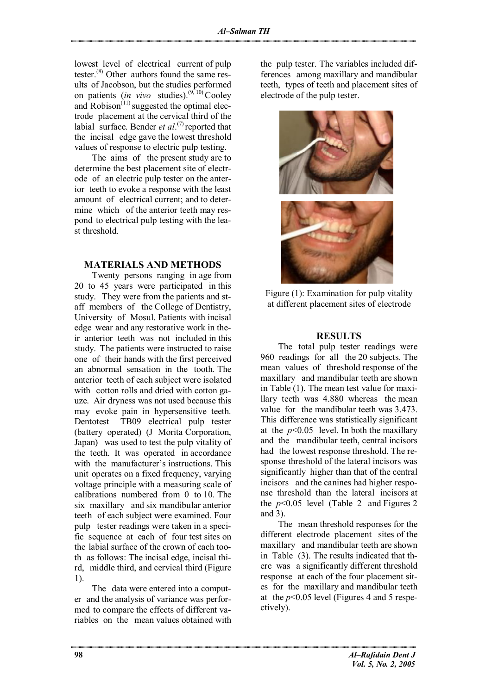lowest level of electrical current of pulp tester.<sup>(8)</sup> Other authors found the same results of Jacobson, but the studies performed on patients (*in vivo* studies).<sup> $(9, 10)$ </sup> Cooley and  $\overline{R}$  Robison<sup>(11)</sup> suggested the optimal electrode placement at the cervical third of the labial surface. Bender *et al.*<sup>(7)</sup> reported that the incisal edge gave the lowest threshold values of response to electric pulp testing.

The aims of the present study are to determine the best placement site of electrode of an electric pulp tester on the anterior teeth to evoke a response with the least amount of electrical current; and to determine which of the anterior teeth may respond to electrical pulp testing with the least threshold.

## **MATERIALS AND METHODS**

Twenty persons ranging in age from 20 to 45 years were participated in this study. They were from the patients and staff members of the College of Dentistry, University of Mosul. Patients with incisal edge wear and any restorative work in their anterior teeth was not included in this study. The patients were instructed to raise one of their hands with the first perceived an abnormal sensation in the tooth. The anterior teeth of each subject were isolated with cotton rolls and dried with cotton gauze. Air dryness was not used because this may evoke pain in hypersensitive teeth. Dentotest TB09 electrical pulp tester (battery operated) (J Morita Corporation, Japan) was used to test the pulp vitality of the teeth. It was operated in accordance with the manufacturer's instructions. This unit operates on a fixed frequency, varying voltage principle with a measuring scale of calibrations numbered from 0 to 10. The six maxillary and six mandibular anterior teeth of each subject were examined. Four pulp tester readings were taken in a specific sequence at each of four test sites on the labial surface of the crown of each tooth as follows: The incisal edge, incisal third, middle third, and cervical third (Figure 1).

The data were entered into a computer and the analysis of variance was performed to compare the effects of different variables on the mean values obtained with the pulp tester. The variables included differences among maxillary and mandibular teeth, types of teeth and placement sites of electrode of the pulp tester.



Figure (1): Examination for pulp vitality at different placement sites of electrode

### **RESULTS**

The total pulp tester readings were 960 readings for all the 20 subjects. The mean values of threshold response of the maxillary and mandibular teeth are shown in Table (1). The mean test value for maxillary teeth was 4.880 whereas the mean value for the mandibular teeth was 3.473. This difference was statistically significant at the  $p<0.05$  level. In both the maxillary and the mandibular teeth, central incisors had the lowest response threshold. The response threshold of the lateral incisors was significantly higher than that of the central incisors and the canines had higher response threshold than the lateral incisors at the  $p<0.05$  level (Table 2 and Figures 2 and 3).

The mean threshold responses for the different electrode placement sites of the maxillary and mandibular teeth are shown in Table (3). The results indicated that there was a significantly different threshold response at each of the four placement sites for the maxillary and mandibular teeth at the  $p<0.05$  level (Figures 4 and 5 respectively).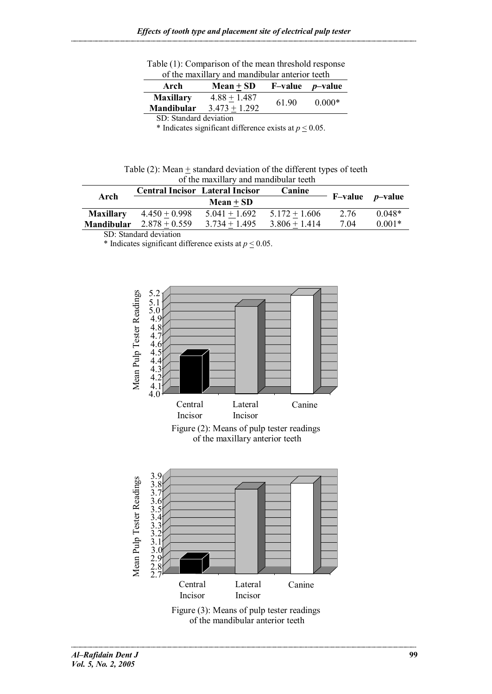Table (1): Comparison of the mean threshold response of the maxillary and mandibular anterior teeth

| Arch                                  | $Mean + SD$                       |       | $F-value$ <i>p</i> -value |
|---------------------------------------|-----------------------------------|-------|---------------------------|
| <b>Maxillary</b><br><b>Mandibular</b> | $4.88 + 1.487$<br>$3.473 + 1.292$ | 61.90 | $0.000*$                  |
| SD: Standard deviation                |                                   |       |                           |

\* Indicates significant difference exists at  $p \le 0.05$ .

| Table (2): Mean + standard deviation of the different types of teeth |
|----------------------------------------------------------------------|
| of the maxillary and mandibular teeth                                |

| Arch              | <b>Central Incisor Lateral Incisor</b> |                 | Canine          |                   |          |
|-------------------|----------------------------------------|-----------------|-----------------|-------------------|----------|
|                   |                                        | $Mean + SD$     |                 | $F-value$ p-value |          |
| <b>Maxillary</b>  | $4.450 + 0.998$                        | $5.041 + 1.692$ | $5.172 + 1.606$ | 2.76              | $0.048*$ |
| <b>Mandibular</b> | $2.878 + 0.559$                        | $3.734 + 1.495$ | $3.806 + 1.414$ | 7.04              | $0.001*$ |

SD: Standard deviation

\* Indicates significant difference exists at  $p \le 0.05$ .

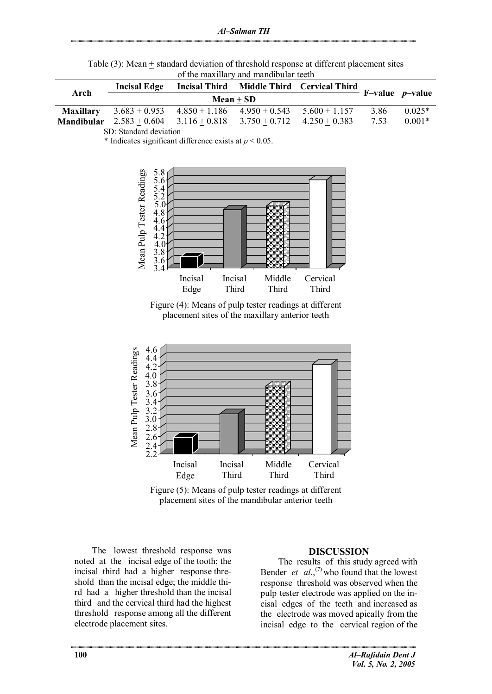| Table (3): Mean $\pm$ standard deviation of threshold response at different placement sites |  |
|---------------------------------------------------------------------------------------------|--|
| of the maxillary and mandibular teeth                                                       |  |

| Arch              | <b>Incisal Edge</b>                                          |                                 |  | Incisal Third Middle Third Cervical Third |      |          |
|-------------------|--------------------------------------------------------------|---------------------------------|--|-------------------------------------------|------|----------|
|                   | d Middle Third Cervical Luiru F-value p-value<br>$Mean + SD$ |                                 |  |                                           |      |          |
| <b>Maxillary</b>  | $3.683 + 0.953$                                              | $4.850 + 1.186$ $4.950 + 0.543$ |  | $5.600 + 1.157$                           | 3.86 | $0.025*$ |
| <b>Mandibular</b> | $2.583 + 0.604$                                              | $3.116 + 0.818$ $3.750 + 0.712$ |  | $4.250 + 0.383$                           | 7.53 | $0.001*$ |

SD: Standard deviation

\* Indicates significant difference exists at  $p \le 0.05$ .



Figure (4): Means of pulp tester readings at different placement sites of the maxillary anterior teeth



Figure (5): Means of pulp tester readings at different placement sites of the mandibular anterior teeth

The lowest threshold response was noted at the incisal edge of the tooth; the incisal third had a higher response threshold than the incisal edge; the middle third had a higher threshold than the incisal third and the cervical third had the highest threshold response among all the different electrode placement sites.

### **DISCUSSION**

The results of this study agreed with Bender *et*  $al$ <sup>''</sup>, who found that the lowest response threshold was observed when the pulp tester electrode was applied on the incisal edges of the teeth and increased as the electrode was moved apically from the incisal edge to the cervical region of the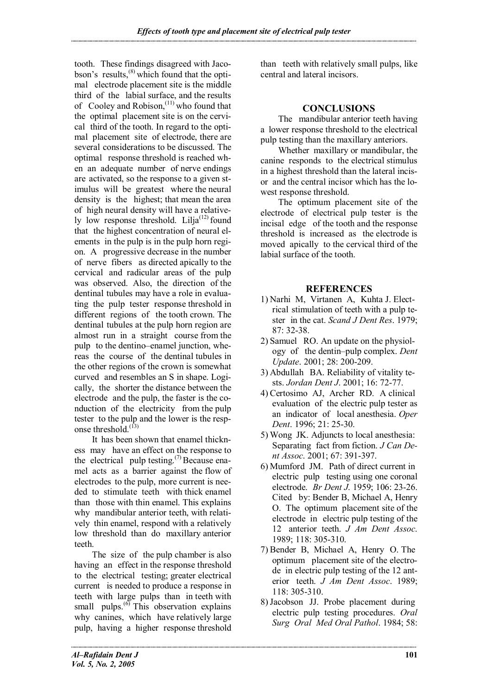tooth. These findings disagreed with Jacobson's results, $^{(8)}$  which found that the optimal electrode placement site is the middle third of the labial surface, and the results of Cooley and Robison,  $(11)$  who found that the optimal placement site is on the cervical third of the tooth. In regard to the optimal placement site of electrode, there are several considerations to be discussed. The optimal response threshold is reached when an adequate number of nerve endings are activated, so the response to a given stimulus will be greatest where the neural density is the highest; that mean the area of high neural density will have a relatively low response threshold. Lilja $(12)$  found that the highest concentration of neural elements in the pulp is in the pulp horn region. A progressive decrease in the number of nerve fibers as directed apically to the cervical and radicular areas of the pulp was observed. Also, the direction of the dentinal tubules may have a role in evaluating the pulp tester response threshold in different regions of the tooth crown. The dentinal tubules at the pulp horn region are almost run in a straight course from the pulp to the dentino–enamel junction, whereas the course of the dentinal tubules in the other regions of the crown is somewhat curved and resembles an S in shape. Logically, the shorter the distance between the electrode and the pulp, the faster is the conduction of the electricity from the pulp tester to the pulp and the lower is the response threshold. $^{(13)}$ 

It has been shown that enamel thickness may have an effect on the response to the electrical pulp testing.<sup>(7)</sup> Because enamel acts as a barrier against the flow of electrodes to the pulp, more current is needed to stimulate teeth with thick enamel than those with thin enamel. This explains why mandibular anterior teeth, with relatively thin enamel, respond with a relatively low threshold than do maxillary anterior teeth.

The size of the pulp chamber is also having an effect in the response threshold to the electrical testing; greater electrical current is needed to produce a response in teeth with large pulps than in teeth with small pulps. $^{(6)}$  This observation explains why canines, which have relatively large pulp, having a higher response threshold than teeth with relatively small pulps, like central and lateral incisors.

# **CONCLUSIONS**

The mandibular anterior teeth having a lower response threshold to the electrical pulp testing than the maxillary anteriors.

Whether maxillary or mandibular, the canine responds to the electrical stimulus in a highest threshold than the lateral incisor and the central incisor which has the lowest response threshold.

The optimum placement site of the electrode of electrical pulp tester is the incisal edge of the tooth and the response threshold is increased as the electrode is moved apically to the cervical third of the labial surface of the tooth.

# **REFERENCES**

- 1) Narhi M, Virtanen A, Kuhta J. Electrical stimulation of teeth with a pulp tester in the cat. *Scand J Dent Res*. 1979; 87: 32-38.
- 2) Samuel RO. An update on the physiology of the dentin–pulp complex. *Dent Update*. 2001; 28: 200-209.
- 3) Abdullah BA. Reliability of vitality tests. *Jordan Dent J*. 2001; 16: 72-77.
- 4) Certosimo AJ, Archer RD. A clinical evaluation of the electric pulp tester as an indicator of local anesthesia. *Oper Dent*. 1996; 21: 25-30.
- 5) Wong JK. Adjuncts to local anesthesia: Separating fact from fiction. *J Can Dent Assoc*. 2001; 67: 391-397.
- 6) Mumford JM. Path of direct current in electric pulp testing using one coronal electrode. *Br Dent J*. 1959; 106: 23-26. Cited by: Bender B, Michael A, Henry O. The optimum placement site of the electrode in electric pulp testing of the 12 anterior teeth. *J Am Dent Assoc*. 1989; 118: 305-310.
- 7) Bender B, Michael A, Henry O. The optimum placement site of the electrode in electric pulp testing of the 12 anterior teeth. *J Am Dent Assoc*. 1989; 118: 305-310.
- 8)Jacobson JJ. Probe placement during electric pulp testing procedures. *Oral Surg Oral Med Oral Pathol*. 1984; 58: